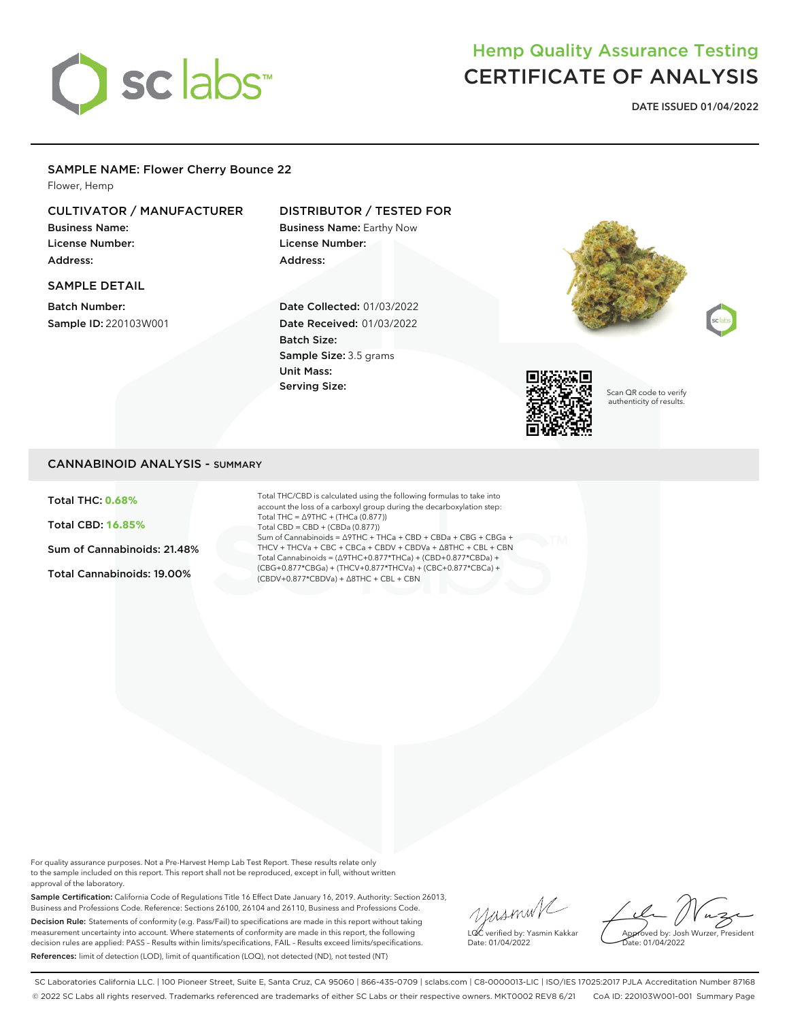

# Hemp Quality Assurance Testing CERTIFICATE OF ANALYSIS

**DATE ISSUED 01/04/2022**

## SAMPLE NAME: Flower Cherry Bounce 22

Flower, Hemp

## CULTIVATOR / MANUFACTURER

Business Name: License Number: Address:

SAMPLE DETAIL

Batch Number: Sample ID: 220103W001

## DISTRIBUTOR / TESTED FOR

Business Name: Earthy Now License Number: Address:

Date Collected: 01/03/2022 Date Received: 01/03/2022 Batch Size: Sample Size: 3.5 grams Unit Mass: Serving Size:





Scan QR code to verify authenticity of results.

## CANNABINOID ANALYSIS - SUMMARY

Total THC: **0.68%**

Total CBD: **16.85%**

Sum of Cannabinoids: 21.48%

Total Cannabinoids: 19.00%

Total THC/CBD is calculated using the following formulas to take into account the loss of a carboxyl group during the decarboxylation step: Total THC = ∆9THC + (THCa (0.877)) Total CBD = CBD + (CBDa (0.877)) Sum of Cannabinoids = ∆9THC + THCa + CBD + CBDa + CBG + CBGa + THCV + THCVa + CBC + CBCa + CBDV + CBDVa + ∆8THC + CBL + CBN Total Cannabinoids = (∆9THC+0.877\*THCa) + (CBD+0.877\*CBDa) + (CBG+0.877\*CBGa) + (THCV+0.877\*THCVa) + (CBC+0.877\*CBCa) + (CBDV+0.877\*CBDVa) + ∆8THC + CBL + CBN

For quality assurance purposes. Not a Pre-Harvest Hemp Lab Test Report. These results relate only to the sample included on this report. This report shall not be reproduced, except in full, without written approval of the laboratory.

Sample Certification: California Code of Regulations Title 16 Effect Date January 16, 2019. Authority: Section 26013, Business and Professions Code. Reference: Sections 26100, 26104 and 26110, Business and Professions Code. Decision Rule: Statements of conformity (e.g. Pass/Fail) to specifications are made in this report without taking measurement uncertainty into account. Where statements of conformity are made in this report, the following decision rules are applied: PASS – Results within limits/specifications, FAIL – Results exceed limits/specifications. References: limit of detection (LOD), limit of quantification (LOQ), not detected (ND), not tested (NT)

yusmink LQC verified by: Yasmin Kakkar Date: 01/04/2022

Approved by: Josh Wurzer, President Date: 01/04/2022

SC Laboratories California LLC. | 100 Pioneer Street, Suite E, Santa Cruz, CA 95060 | 866-435-0709 | sclabs.com | C8-0000013-LIC | ISO/IES 17025:2017 PJLA Accreditation Number 87168 © 2022 SC Labs all rights reserved. Trademarks referenced are trademarks of either SC Labs or their respective owners. MKT0002 REV8 6/21 CoA ID: 220103W001-001 Summary Page